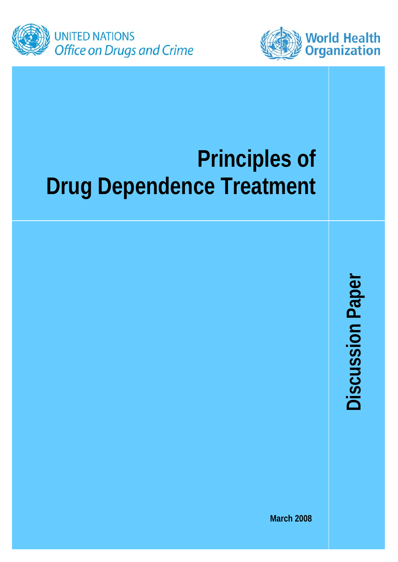



# **Principles of Drug Dependence Treatment**

**Discussion Paper Discussion Paper** 

**March 2008**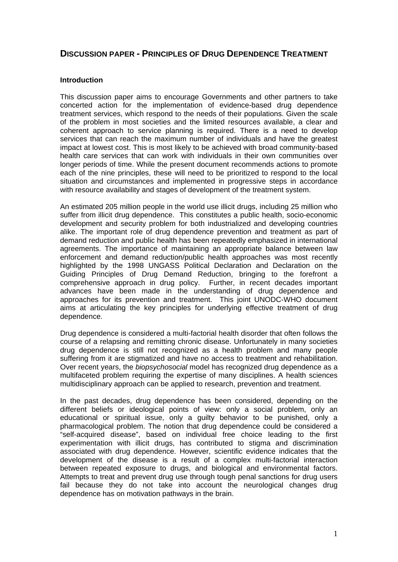## **DISCUSSION PAPER - PRINCIPLES OF DRUG DEPENDENCE TREATMENT**

## **Introduction**

This discussion paper aims to encourage Governments and other partners to take concerted action for the implementation of evidence-based drug dependence treatment services, which respond to the needs of their populations. Given the scale of the problem in most societies and the limited resources available, a clear and coherent approach to service planning is required. There is a need to develop services that can reach the maximum number of individuals and have the greatest impact at lowest cost. This is most likely to be achieved with broad community-based health care services that can work with individuals in their own communities over longer periods of time. While the present document recommends actions to promote each of the nine principles, these will need to be prioritized to respond to the local situation and circumstances and implemented in progressive steps in accordance with resource availability and stages of development of the treatment system.

An estimated 205 million people in the world use illicit drugs, including 25 million who suffer from illicit drug dependence. This constitutes a public health, socio-economic development and security problem for both industrialized and developing countries alike. The important role of drug dependence prevention and treatment as part of demand reduction and public health has been repeatedly emphasized in international agreements. The importance of maintaining an appropriate balance between law enforcement and demand reduction/public health approaches was most recently highlighted by the 1998 UNGASS Political Declaration and Declaration on the Guiding Principles of Drug Demand Reduction, bringing to the forefront a comprehensive approach in drug policy. Further, in recent decades important advances have been made in the understanding of drug dependence and approaches for its prevention and treatment. This joint UNODC-WHO document aims at articulating the key principles for underlying effective treatment of drug dependence.

Drug dependence is considered a multi-factorial health disorder that often follows the course of a relapsing and remitting chronic disease. Unfortunately in many societies drug dependence is still not recognized as a health problem and many people suffering from it are stigmatized and have no access to treatment and rehabilitation. Over recent years, the *biopsychosocial* model has recognized drug dependence as a multifaceted problem requiring the expertise of many disciplines. A health sciences multidisciplinary approach can be applied to research, prevention and treatment.

In the past decades, drug dependence has been considered, depending on the different beliefs or ideological points of view: only a social problem, only an educational or spiritual issue, only a guilty behavior to be punished, only a pharmacological problem. The notion that drug dependence could be considered a "self-acquired disease", based on individual free choice leading to the first experimentation with illicit drugs, has contributed to stigma and discrimination associated with drug dependence. However, scientific evidence indicates that the development of the disease is a result of a complex multi-factorial interaction between repeated exposure to drugs, and biological and environmental factors. Attempts to treat and prevent drug use through tough penal sanctions for drug users fail because they do not take into account the neurological changes drug dependence has on motivation pathways in the brain.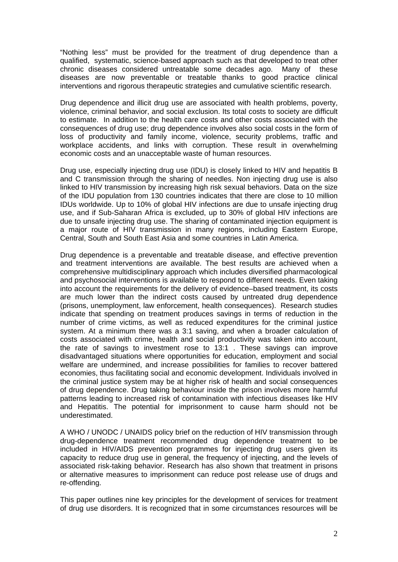"Nothing less" must be provided for the treatment of drug dependence than a qualified, systematic, science-based approach such as that developed to treat other chronic diseases considered untreatable some decades ago. Many of these diseases are now preventable or treatable thanks to good practice clinical interventions and rigorous therapeutic strategies and cumulative scientific research.

Drug dependence and illicit drug use are associated with health problems, poverty, violence, criminal behavior, and social exclusion. Its total costs to society are difficult to estimate. In addition to the health care costs and other costs associated with the consequences of drug use; drug dependence involves also social costs in the form of loss of productivity and family income, violence, security problems, traffic and workplace accidents, and links with corruption. These result in overwhelming economic costs and an unacceptable waste of human resources.

Drug use, especially injecting drug use (IDU) is closely linked to HIV and hepatitis B and C transmission through the sharing of needles. Non injecting drug use is also linked to HIV transmission by increasing high risk sexual behaviors. Data on the size of the IDU population from 130 countries indicates that there are close to 10 million IDUs worldwide. Up to 10% of global HIV infections are due to unsafe injecting drug use, and if Sub-Saharan Africa is excluded, up to 30% of global HIV infections are due to unsafe injecting drug use. The sharing of contaminated injection equipment is a major route of HIV transmission in many regions, including Eastern Europe, Central, South and South East Asia and some countries in Latin America.

Drug dependence is a preventable and treatable disease, and effective prevention and treatment interventions are available. The best results are achieved when a comprehensive multidisciplinary approach which includes diversified pharmacological and psychosocial interventions is available to respond to different needs. Even taking into account the requirements for the delivery of evidence–based treatment, its costs are much lower than the indirect costs caused by untreated drug dependence (prisons, unemployment, law enforcement, health consequences). Research studies indicate that spending on treatment produces savings in terms of reduction in the number of crime victims, as well as reduced expenditures for the criminal justice system. At a minimum there was a 3:1 saving, and when a broader calculation of costs associated with crime, health and social productivity was taken into account, the rate of savings to investment rose to 13:1 . These savings can improve disadvantaged situations where opportunities for education, employment and social welfare are undermined, and increase possibilities for families to recover battered economies, thus facilitating social and economic development. Individuals involved in the criminal justice system may be at higher risk of health and social consequences of drug dependence. Drug taking behaviour inside the prison involves more harmful patterns leading to increased risk of contamination with infectious diseases like HIV and Hepatitis. The potential for imprisonment to cause harm should not be underestimated.

A WHO / UNODC / UNAIDS policy brief on the reduction of HIV transmission through drug-dependence treatment recommended drug dependence treatment to be included in HIV/AIDS prevention programmes for injecting drug users given its capacity to reduce drug use in general, the frequency of injecting, and the levels of associated risk-taking behavior. Research has also shown that treatment in prisons or alternative measures to imprisonment can reduce post release use of drugs and re-offending.

This paper outlines nine key principles for the development of services for treatment of drug use disorders. It is recognized that in some circumstances resources will be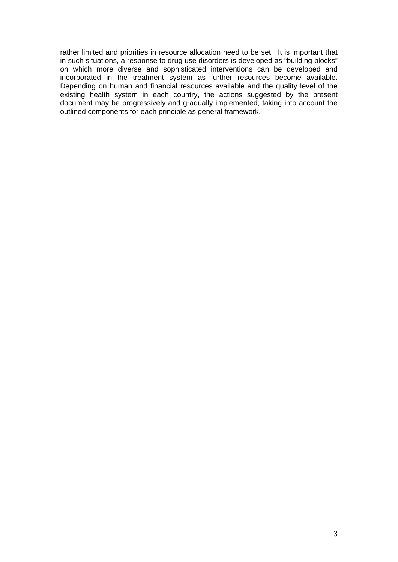rather limited and priorities in resource allocation need to be set. It is important that in such situations, a response to drug use disorders is developed as "building blocks" on which more diverse and sophisticated interventions can be developed and incorporated in the treatment system as further resources become available. Depending on human and financial resources available and the quality level of the existing health system in each country, the actions suggested by the present document may be progressively and gradually implemented, taking into account the outlined components for each principle as general framework.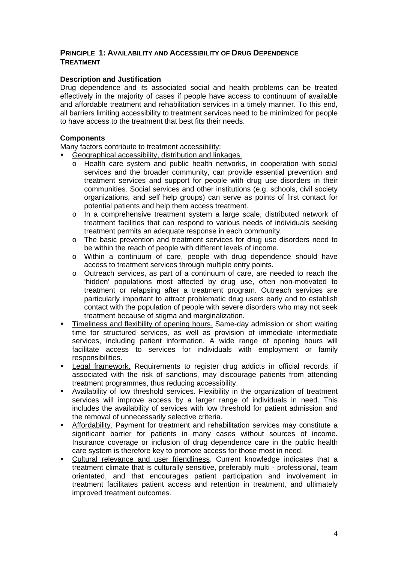## **PRINCIPLE 1: AVAILABILITY AND ACCESSIBILITY OF DRUG DEPENDENCE TREATMENT**

## **Description and Justification**

Drug dependence and its associated social and health problems can be treated effectively in the majority of cases if people have access to continuum of available and affordable treatment and rehabilitation services in a timely manner. To this end, all barriers limiting accessibility to treatment services need to be minimized for people to have access to the treatment that best fits their needs.

## **Components**

Many factors contribute to treatment accessibility:

- Geographical accessibility, distribution and linkages.
	- o Health care system and public health networks, in cooperation with social services and the broader community, can provide essential prevention and treatment services and support for people with drug use disorders in their communities. Social services and other institutions (e.g. schools, civil society organizations, and self help groups) can serve as points of first contact for potential patients and help them access treatment.
	- o In a comprehensive treatment system a large scale, distributed network of treatment facilities that can respond to various needs of individuals seeking treatment permits an adequate response in each community.
	- o The basic prevention and treatment services for drug use disorders need to be within the reach of people with different levels of income.
	- o Within a continuum of care, people with drug dependence should have access to treatment services through multiple entry points.
	- o Outreach services, as part of a continuum of care, are needed to reach the 'hidden' populations most affected by drug use, often non-motivated to treatment or relapsing after a treatment program. Outreach services are particularly important to attract problematic drug users early and to establish contact with the population of people with severe disorders who may not seek treatment because of stigma and marginalization.
- Timeliness and flexibility of opening hours. Same-day admission or short waiting time for structured services, as well as provision of immediate intermediate services, including patient information. A wide range of opening hours will facilitate access to services for individuals with employment or family responsibilities.
- Legal framework. Requirements to register drug addicts in official records, if associated with the risk of sanctions, may discourage patients from attending treatment programmes, thus reducing accessibility.
- Availability of low threshold services. Flexibility in the organization of treatment services will improve access by a larger range of individuals in need. This includes the availability of services with low threshold for patient admission and the removal of unnecessarily selective criteria.
- Affordability. Payment for treatment and rehabilitation services may constitute a significant barrier for patients in many cases without sources of income. Insurance coverage or inclusion of drug dependence care in the public health care system is therefore key to promote access for those most in need.
- Cultural relevance and user friendliness. Current knowledge indicates that a treatment climate that is culturally sensitive, preferably multi - professional, team orientated, and that encourages patient participation and involvement in treatment facilitates patient access and retention in treatment, and ultimately improved treatment outcomes.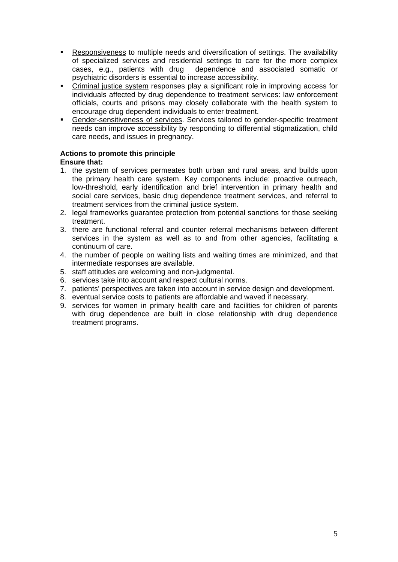- Responsiveness to multiple needs and diversification of settings. The availability of specialized services and residential settings to care for the more complex cases, e.g., patients with drug dependence and associated somatic or psychiatric disorders is essential to increase accessibility.
- Criminal justice system responses play a significant role in improving access for individuals affected by drug dependence to treatment services: law enforcement officials, courts and prisons may closely collaborate with the health system to encourage drug dependent individuals to enter treatment.
- Gender-sensitiveness of services. Services tailored to gender-specific treatment needs can improve accessibility by responding to differential stigmatization, child care needs, and issues in pregnancy.

#### **Actions to promote this principle Ensure that:**

- 1. the system of services permeates both urban and rural areas, and builds upon the primary health care system. Key components include: proactive outreach, low-threshold, early identification and brief intervention in primary health and social care services, basic drug dependence treatment services, and referral to treatment services from the criminal justice system.
- 2. legal frameworks guarantee protection from potential sanctions for those seeking treatment.
- 3. there are functional referral and counter referral mechanisms between different services in the system as well as to and from other agencies, facilitating a continuum of care.
- 4. the number of people on waiting lists and waiting times are minimized, and that intermediate responses are available.
- 5. staff attitudes are welcoming and non-judgmental.
- 6. services take into account and respect cultural norms.
- 7. patients' perspectives are taken into account in service design and development.
- 8. eventual service costs to patients are affordable and waved if necessary.
- 9. services for women in primary health care and facilities for children of parents with drug dependence are built in close relationship with drug dependence treatment programs.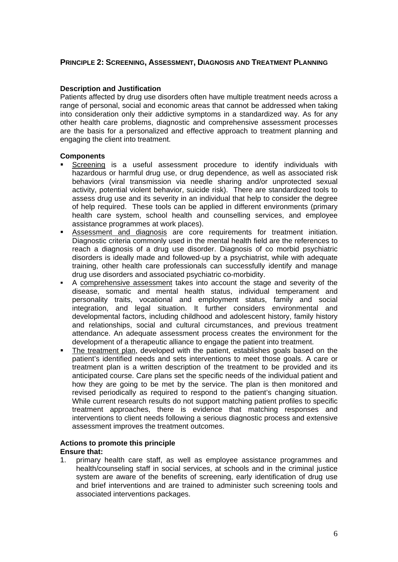## **PRINCIPLE 2: SCREENING, ASSESSMENT, DIAGNOSIS AND TREATMENT PLANNING**

## **Description and Justification**

Patients affected by drug use disorders often have multiple treatment needs across a range of personal, social and economic areas that cannot be addressed when taking into consideration only their addictive symptoms in a standardized way. As for any other health care problems, diagnostic and comprehensive assessment processes are the basis for a personalized and effective approach to treatment planning and engaging the client into treatment.

## **Components**

- Screening is a useful assessment procedure to identify individuals with hazardous or harmful drug use, or drug dependence, as well as associated risk behaviors (viral transmission via needle sharing and/or unprotected sexual activity, potential violent behavior, suicide risk). There are standardized tools to assess drug use and its severity in an individual that help to consider the degree of help required. These tools can be applied in different environments (primary health care system, school health and counselling services, and employee assistance programmes at work places).
- Assessment and diagnosis are core requirements for treatment initiation. Diagnostic criteria commonly used in the mental health field are the references to reach a diagnosis of a drug use disorder. Diagnosis of co morbid psychiatric disorders is ideally made and followed-up by a psychiatrist, while with adequate training, other health care professionals can successfully identify and manage drug use disorders and associated psychiatric co-morbidity.
- A comprehensive assessment takes into account the stage and severity of the disease, somatic and mental health status, individual temperament and personality traits, vocational and employment status, family and social integration, and legal situation. It further considers environmental and developmental factors, including childhood and adolescent history, family history and relationships, social and cultural circumstances, and previous treatment attendance. An adequate assessment process creates the environment for the development of a therapeutic alliance to engage the patient into treatment.
- The treatment plan, developed with the patient, establishes goals based on the patient's identified needs and sets interventions to meet those goals. A care or treatment plan is a written description of the treatment to be provided and its anticipated course. Care plans set the specific needs of the individual patient and how they are going to be met by the service. The plan is then monitored and revised periodically as required to respond to the patient's changing situation. While current research results do not support matching patient profiles to specific treatment approaches, there is evidence that matching responses and interventions to client needs following a serious diagnostic process and extensive assessment improves the treatment outcomes.

## **Actions to promote this principle Ensure that:**

1. primary health care staff, as well as employee assistance programmes and health/counseling staff in social services, at schools and in the criminal justice system are aware of the benefits of screening, early identification of drug use and brief interventions and are trained to administer such screening tools and associated interventions packages.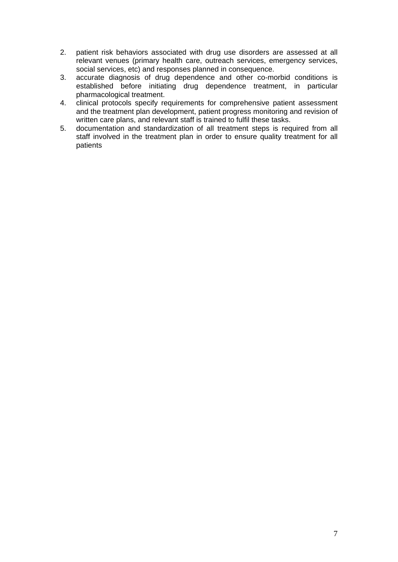- 2. patient risk behaviors associated with drug use disorders are assessed at all relevant venues (primary health care, outreach services, emergency services, social services, etc) and responses planned in consequence.
- 3. accurate diagnosis of drug dependence and other co-morbid conditions is established before initiating drug dependence treatment, in particular pharmacological treatment.
- 4. clinical protocols specify requirements for comprehensive patient assessment and the treatment plan development, patient progress monitoring and revision of written care plans, and relevant staff is trained to fulfil these tasks.
- 5. documentation and standardization of all treatment steps is required from all staff involved in the treatment plan in order to ensure quality treatment for all patients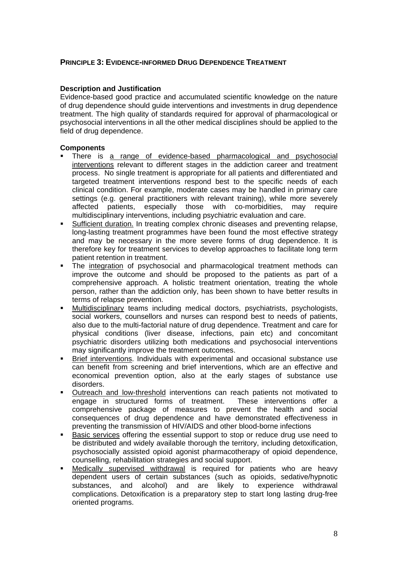## **PRINCIPLE 3: EVIDENCE-INFORMED DRUG DEPENDENCE TREATMENT**

## **Description and Justification**

Evidence-based good practice and accumulated scientific knowledge on the nature of drug dependence should guide interventions and investments in drug dependence treatment. The high quality of standards required for approval of pharmacological or psychosocial interventions in all the other medical disciplines should be applied to the field of drug dependence.

## **Components**

- There is a range of evidence-based pharmacological and psychosocial interventions relevant to different stages in the addiction career and treatment process. No single treatment is appropriate for all patients and differentiated and targeted treatment interventions respond best to the specific needs of each clinical condition. For example, moderate cases may be handled in primary care settings (e.g. general practitioners with relevant training), while more severely affected patients, especially those with co-morbidities, may require multidisciplinary interventions, including psychiatric evaluation and care.
- Sufficient duration. In treating complex chronic diseases and preventing relapse, long-lasting treatment programmes have been found the most effective strategy and may be necessary in the more severe forms of drug dependence. It is therefore key for treatment services to develop approaches to facilitate long term patient retention in treatment.
- The integration of psychosocial and pharmacological treatment methods can improve the outcome and should be proposed to the patients as part of a comprehensive approach. A holistic treatment orientation, treating the whole person, rather than the addiction only, has been shown to have better results in terms of relapse prevention.
- Multidisciplinary teams including medical doctors, psychiatrists, psychologists, social workers, counsellors and nurses can respond best to needs of patients, also due to the multi-factorial nature of drug dependence. Treatment and care for physical conditions (liver disease, infections, pain etc) and concomitant psychiatric disorders utilizing both medications and psychosocial interventions may significantly improve the treatment outcomes.
- Brief interventions. Individuals with experimental and occasional substance use can benefit from screening and brief interventions, which are an effective and economical prevention option, also at the early stages of substance use disorders.
- Outreach and low-threshold interventions can reach patients not motivated to engage in structured forms of treatment. These interventions offer a comprehensive package of measures to prevent the health and social consequences of drug dependence and have demonstrated effectiveness in preventing the transmission of HIV/AIDS and other blood-borne infections
- Basic services offering the essential support to stop or reduce drug use need to be distributed and widely available thorough the territory, including detoxification, psychosocially assisted opioid agonist pharmacotherapy of opioid dependence, counselling, rehabilitation strategies and social support.
- **Medically supervised withdrawal is required for patients who are heavy** dependent users of certain substances (such as opioids, sedative/hypnotic substances, and alcohol) and are likely to experience withdrawal complications. Detoxification is a preparatory step to start long lasting drug-free oriented programs.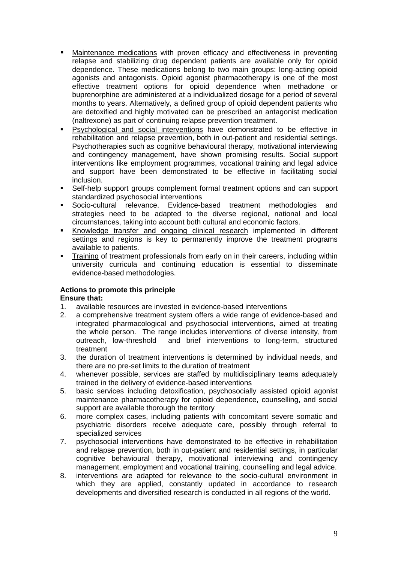- Maintenance medications with proven efficacy and effectiveness in preventing relapse and stabilizing drug dependent patients are available only for opioid dependence. These medications belong to two main groups: long-acting opioid agonists and antagonists. Opioid agonist pharmacotherapy is one of the most effective treatment options for opioid dependence when methadone or buprenorphine are administered at a individualized dosage for a period of several months to years. Alternatively, a defined group of opioid dependent patients who are detoxified and highly motivated can be prescribed an antagonist medication (naltrexone) as part of continuing relapse prevention treatment.
- Psychological and social interventions have demonstrated to be effective in rehabilitation and relapse prevention, both in out-patient and residential settings. Psychotherapies such as cognitive behavioural therapy, motivational interviewing and contingency management, have shown promising results. Social support interventions like employment programmes, vocational training and legal advice and support have been demonstrated to be effective in facilitating social inclusion.
- Self-help support groups complement formal treatment options and can support standardized psychosocial interventions
- Socio-cultural relevance. Evidence-based treatment methodologies and strategies need to be adapted to the diverse regional, national and local circumstances, taking into account both cultural and economic factors.
- Knowledge transfer and ongoing clinical research implemented in different settings and regions is key to permanently improve the treatment programs available to patients.
- Training of treatment professionals from early on in their careers, including within university curricula and continuing education is essential to disseminate evidence-based methodologies.

## **Actions to promote this principle**

## **Ensure that:**

- 1. available resources are invested in evidence-based interventions
- 2. a comprehensive treatment system offers a wide range of evidence-based and integrated pharmacological and psychosocial interventions, aimed at treating the whole person. The range includes interventions of diverse intensity, from outreach, low-threshold and brief interventions to long-term, structured treatment
- 3. the duration of treatment interventions is determined by individual needs, and there are no pre-set limits to the duration of treatment
- 4. whenever possible, services are staffed by multidisciplinary teams adequately trained in the delivery of evidence-based interventions
- 5. basic services including detoxification, psychosocially assisted opioid agonist maintenance pharmacotherapy for opioid dependence, counselling, and social support are available thorough the territory
- 6. more complex cases, including patients with concomitant severe somatic and psychiatric disorders receive adequate care, possibly through referral to specialized services
- 7. psychosocial interventions have demonstrated to be effective in rehabilitation and relapse prevention, both in out-patient and residential settings, in particular cognitive behavioural therapy, motivational interviewing and contingency management, employment and vocational training, counselling and legal advice.
- 8. interventions are adapted for relevance to the socio-cultural environment in which they are applied, constantly updated in accordance to research developments and diversified research is conducted in all regions of the world.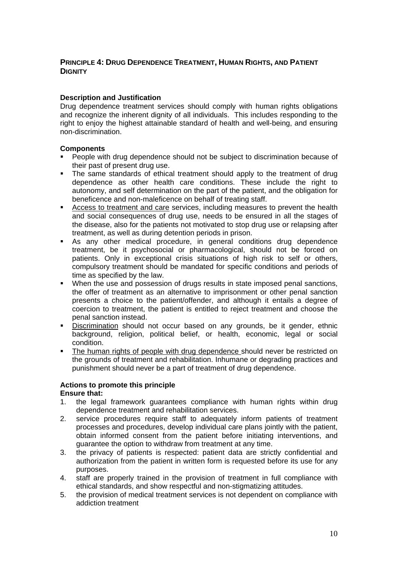## **PRINCIPLE 4: DRUG DEPENDENCE TREATMENT, HUMAN RIGHTS, AND PATIENT DIGNITY**

## **Description and Justification**

Drug dependence treatment services should comply with human rights obligations and recognize the inherent dignity of all individuals. This includes responding to the right to enjoy the highest attainable standard of health and well-being, and ensuring non-discrimination.

## **Components**

- People with drug dependence should not be subject to discrimination because of their past of present drug use.
- The same standards of ethical treatment should apply to the treatment of drug dependence as other health care conditions. These include the right to autonomy, and self determination on the part of the patient, and the obligation for beneficence and non-maleficence on behalf of treating staff.
- Access to treatment and care services, including measures to prevent the health and social consequences of drug use, needs to be ensured in all the stages of the disease, also for the patients not motivated to stop drug use or relapsing after treatment, as well as during detention periods in prison.
- As any other medical procedure, in general conditions drug dependence treatment, be it psychosocial or pharmacological, should not be forced on patients. Only in exceptional crisis situations of high risk to self or others, compulsory treatment should be mandated for specific conditions and periods of time as specified by the law.
- When the use and possession of drugs results in state imposed penal sanctions, the offer of treatment as an alternative to imprisonment or other penal sanction presents a choice to the patient/offender, and although it entails a degree of coercion to treatment, the patient is entitled to reject treatment and choose the penal sanction instead.
- Discrimination should not occur based on any grounds, be it gender, ethnic background, religion, political belief, or health, economic, legal or social condition.
- The human rights of people with drug dependence should never be restricted on the grounds of treatment and rehabilitation. Inhumane or degrading practices and punishment should never be a part of treatment of drug dependence.

#### **Actions to promote this principle Ensure that:**

- 1. the legal framework guarantees compliance with human rights within drug dependence treatment and rehabilitation services.
- 2. service procedures require staff to adequately inform patients of treatment processes and procedures, develop individual care plans jointly with the patient, obtain informed consent from the patient before initiating interventions, and guarantee the option to withdraw from treatment at any time.
- 3. the privacy of patients is respected: patient data are strictly confidential and authorization from the patient in written form is requested before its use for any purposes.
- 4. staff are properly trained in the provision of treatment in full compliance with ethical standards, and show respectful and non-stigmatizing attitudes.
- 5. the provision of medical treatment services is not dependent on compliance with addiction treatment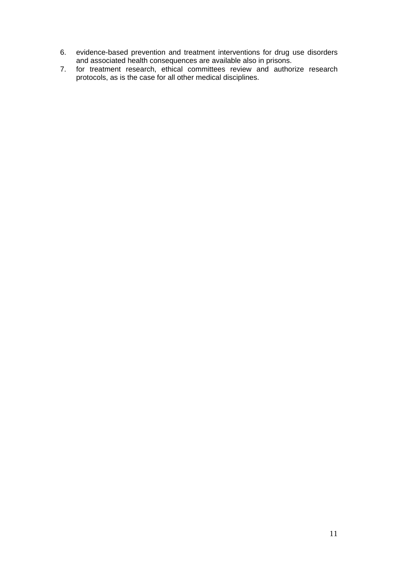- 6. evidence-based prevention and treatment interventions for drug use disorders and associated health consequences are available also in prisons.
- 7. for treatment research, ethical committees review and authorize research protocols, as is the case for all other medical disciplines.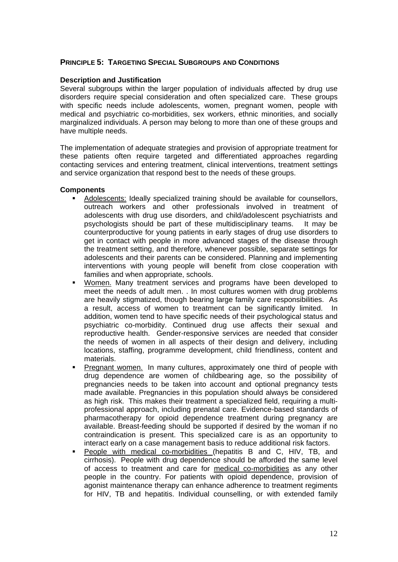## **PRINCIPLE 5: TARGETING SPECIAL SUBGROUPS AND CONDITIONS**

## **Description and Justification**

Several subgroups within the larger population of individuals affected by drug use disorders require special consideration and often specialized care. These groups with specific needs include adolescents, women, pregnant women, people with medical and psychiatric co-morbidities, sex workers, ethnic minorities, and socially marginalized individuals. A person may belong to more than one of these groups and have multiple needs.

The implementation of adequate strategies and provision of appropriate treatment for these patients often require targeted and differentiated approaches regarding contacting services and entering treatment, clinical interventions, treatment settings and service organization that respond best to the needs of these groups.

## **Components**

- Adolescents: Ideally specialized training should be available for counsellors, outreach workers and other professionals involved in treatment of adolescents with drug use disorders, and child/adolescent psychiatrists and psychologists should be part of these multidisciplinary teams. It may be counterproductive for young patients in early stages of drug use disorders to get in contact with people in more advanced stages of the disease through the treatment setting, and therefore, whenever possible, separate settings for adolescents and their parents can be considered. Planning and implementing interventions with young people will benefit from close cooperation with families and when appropriate, schools.
- Women. Many treatment services and programs have been developed to meet the needs of adult men. . In most cultures women with drug problems are heavily stigmatized, though bearing large family care responsibilities. As a result, access of women to treatment can be significantly limited. In addition, women tend to have specific needs of their psychological status and psychiatric co-morbidity. Continued drug use affects their sexual and reproductive health. Gender-responsive services are needed that consider the needs of women in all aspects of their design and delivery, including locations, staffing, programme development, child friendliness, content and materials.
- Pregnant women. In many cultures, approximately one third of people with drug dependence are women of childbearing age, so the possibility of pregnancies needs to be taken into account and optional pregnancy tests made available. Pregnancies in this population should always be considered as high risk. This makes their treatment a specialized field, requiring a multiprofessional approach, including prenatal care. Evidence-based standards of pharmacotherapy for opioid dependence treatment during pregnancy are available. Breast-feeding should be supported if desired by the woman if no contraindication is present. This specialized care is as an opportunity to interact early on a case management basis to reduce additional risk factors.
- People with medical co-morbidities (hepatitis B and C, HIV, TB, and cirrhosis). People with drug dependence should be afforded the same level of access to treatment and care for medical co-morbidities as any other people in the country. For patients with opioid dependence, provision of agonist maintenance therapy can enhance adherence to treatment regiments for HIV, TB and hepatitis. Individual counselling, or with extended family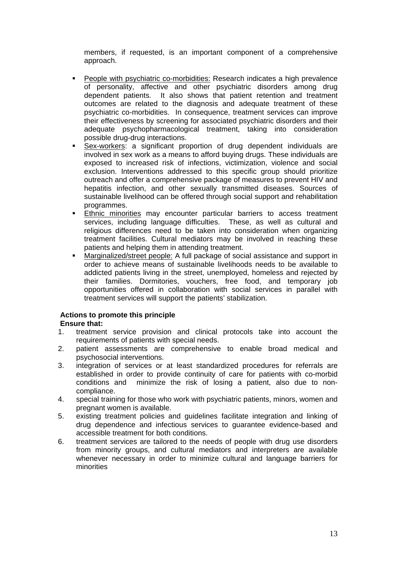members, if requested, is an important component of a comprehensive approach.

- People with psychiatric co-morbidities: Research indicates a high prevalence of personality, affective and other psychiatric disorders among drug dependent patients. It also shows that patient retention and treatment outcomes are related to the diagnosis and adequate treatment of these psychiatric co-morbidities. In consequence, treatment services can improve their effectiveness by screening for associated psychiatric disorders and their adequate psychopharmacological treatment, taking into consideration possible drug-drug interactions.
- Sex-workers: a significant proportion of drug dependent individuals are involved in sex work as a means to afford buying drugs. These individuals are exposed to increased risk of infections, victimization, violence and social exclusion. Interventions addressed to this specific group should prioritize outreach and offer a comprehensive package of measures to prevent HIV and hepatitis infection, and other sexually transmitted diseases. Sources of sustainable livelihood can be offered through social support and rehabilitation programmes.
- Ethnic minorities may encounter particular barriers to access treatment services, including language difficulties. These, as well as cultural and religious differences need to be taken into consideration when organizing treatment facilities. Cultural mediators may be involved in reaching these patients and helping them in attending treatment.
- Marginalized/street people: A full package of social assistance and support in order to achieve means of sustainable livelihoods needs to be available to addicted patients living in the street, unemployed, homeless and rejected by their families. Dormitories, vouchers, free food, and temporary job opportunities offered in collaboration with social services in parallel with treatment services will support the patients' stabilization.

#### **Actions to promote this principle Ensure that:**

- 1. treatment service provision and clinical protocols take into account the requirements of patients with special needs.
- 2. patient assessments are comprehensive to enable broad medical and psychosocial interventions.
- 3. integration of services or at least standardized procedures for referrals are established in order to provide continuity of care for patients with co-morbid conditions and minimize the risk of losing a patient, also due to noncompliance.
- 4. special training for those who work with psychiatric patients, minors, women and pregnant women is available.
- 5. existing treatment policies and guidelines facilitate integration and linking of drug dependence and infectious services to guarantee evidence-based and accessible treatment for both conditions.
- 6. treatment services are tailored to the needs of people with drug use disorders from minority groups, and cultural mediators and interpreters are available whenever necessary in order to minimize cultural and language barriers for minorities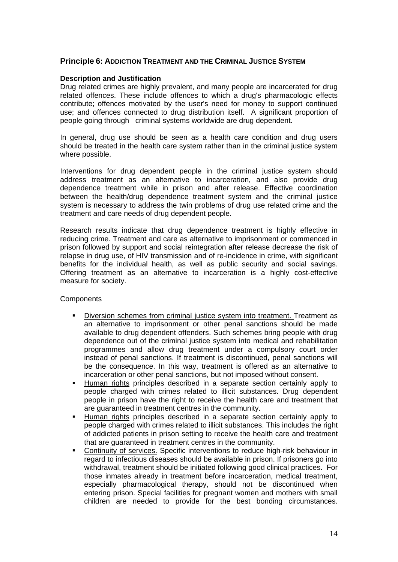## **Principle 6: ADDICTION TREATMENT AND THE CRIMINAL JUSTICE SYSTEM**

## **Description and Justification**

Drug related crimes are highly prevalent, and many people are incarcerated for drug related offences. These include offences to which a drug's pharmacologic effects contribute; offences motivated by the user's need for money to support continued use; and offences connected to drug distribution itself. A significant proportion of people going through criminal systems worldwide are drug dependent.

In general, drug use should be seen as a health care condition and drug users should be treated in the health care system rather than in the criminal justice system where possible.

Interventions for drug dependent people in the criminal justice system should address treatment as an alternative to incarceration, and also provide drug dependence treatment while in prison and after release. Effective coordination between the health/drug dependence treatment system and the criminal iustice system is necessary to address the twin problems of drug use related crime and the treatment and care needs of drug dependent people.

Research results indicate that drug dependence treatment is highly effective in reducing crime. Treatment and care as alternative to imprisonment or commenced in prison followed by support and social reintegration after release decrease the risk of relapse in drug use, of HIV transmission and of re-incidence in crime, with significant benefits for the individual health, as well as public security and social savings. Offering treatment as an alternative to incarceration is a highly cost-effective measure for society.

**Components** 

- Diversion schemes from criminal justice system into treatment. Treatment as an alternative to imprisonment or other penal sanctions should be made available to drug dependent offenders. Such schemes bring people with drug dependence out of the criminal justice system into medical and rehabilitation programmes and allow drug treatment under a compulsory court order instead of penal sanctions. If treatment is discontinued, penal sanctions will be the consequence. In this way, treatment is offered as an alternative to incarceration or other penal sanctions, but not imposed without consent.
- Human rights principles described in a separate section certainly apply to people charged with crimes related to illicit substances. Drug dependent people in prison have the right to receive the health care and treatment that are guaranteed in treatment centres in the community.
- Human rights principles described in a separate section certainly apply to people charged with crimes related to illicit substances. This includes the right of addicted patients in prison setting to receive the health care and treatment that are guaranteed in treatment centres in the community.
- Continuity of services. Specific interventions to reduce high-risk behaviour in regard to infectious diseases should be available in prison. If prisoners go into withdrawal, treatment should be initiated following good clinical practices. For those inmates already in treatment before incarceration, medical treatment, especially pharmacological therapy, should not be discontinued when entering prison. Special facilities for pregnant women and mothers with small children are needed to provide for the best bonding circumstances.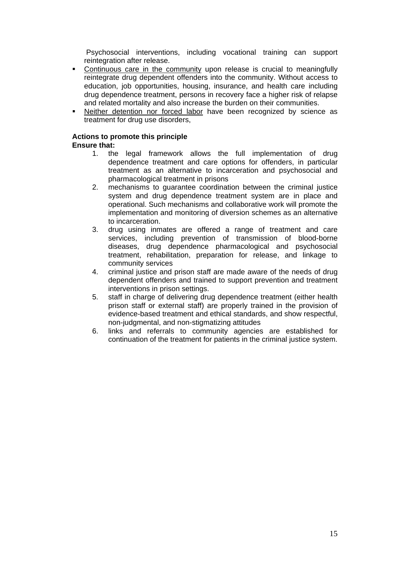Psychosocial interventions, including vocational training can support reintegration after release.

- Continuous care in the community upon release is crucial to meaningfully reintegrate drug dependent offenders into the community. Without access to education, job opportunities, housing, insurance, and health care including drug dependence treatment, persons in recovery face a higher risk of relapse and related mortality and also increase the burden on their communities.
- Neither detention nor forced labor have been recognized by science as treatment for drug use disorders,

#### **Actions to promote this principle Ensure that:**

- 1. the legal framework allows the full implementation of drug dependence treatment and care options for offenders, in particular treatment as an alternative to incarceration and psychosocial and pharmacological treatment in prisons
- 2. mechanisms to guarantee coordination between the criminal justice system and drug dependence treatment system are in place and operational. Such mechanisms and collaborative work will promote the implementation and monitoring of diversion schemes as an alternative to incarceration.
- 3. drug using inmates are offered a range of treatment and care services, including prevention of transmission of blood-borne diseases, drug dependence pharmacological and psychosocial treatment, rehabilitation, preparation for release, and linkage to community services
- 4. criminal justice and prison staff are made aware of the needs of drug dependent offenders and trained to support prevention and treatment interventions in prison settings.
- 5. staff in charge of delivering drug dependence treatment (either health prison staff or external staff) are properly trained in the provision of evidence-based treatment and ethical standards, and show respectful, non-judgmental, and non-stigmatizing attitudes
- 6. links and referrals to community agencies are established for continuation of the treatment for patients in the criminal justice system.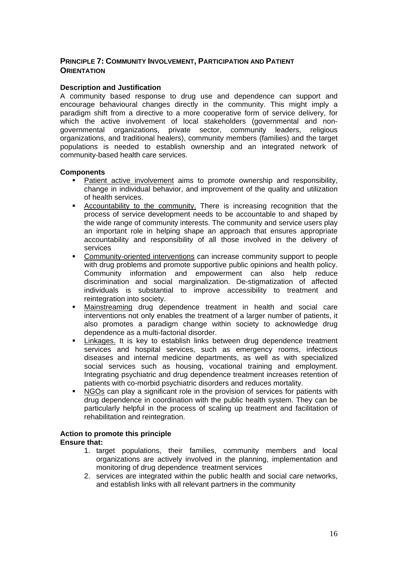## **PRINCIPLE 7: COMMUNITY INVOLVEMENT, PARTICIPATION AND PATIENT ORIENTATION**

## **Description and Justification**

A community based response to drug use and dependence can support and encourage behavioural changes directly in the community. This might imply a paradigm shift from a directive to a more cooperative form of service delivery, for which the active involvement of local stakeholders (governmental and nongovernmental organizations, private sector, community leaders, religious organizations, and traditional healers), community members (families) and the target populations is needed to establish ownership and an integrated network of community-based health care services.

## **Components**

- Patient active involvement aims to promote ownership and responsibility, change in individual behavior, and improvement of the quality and utilization of health services.
- Accountability to the community. There is increasing recognition that the process of service development needs to be accountable to and shaped by the wide range of community interests. The community and service users play an important role in helping shape an approach that ensures appropriate accountability and responsibility of all those involved in the delivery of services
- Community-oriented interventions can increase community support to people with drug problems and promote supportive public opinions and health policy. Community information and empowerment can also help reduce discrimination and social marginalization. De-stigmatization of affected individuals is substantial to improve accessibility to treatment and reintegration into society.
- Mainstreaming drug dependence treatment in health and social care interventions not only enables the treatment of a larger number of patients, it also promotes a paradigm change within society to acknowledge drug dependence as a multi-factorial disorder.
- Linkages. It is key to establish links between drug dependence treatment services and hospital services, such as emergency rooms, infectious diseases and internal medicine departments, as well as with specialized social services such as housing, vocational training and employment. Integrating psychiatric and drug dependence treatment increases retention of patients with co-morbid psychiatric disorders and reduces mortality.
- NGOs can play a significant role in the provision of services for patients with drug dependence in coordination with the public health system. They can be particularly helpful in the process of scaling up treatment and facilitation of rehabilitation and reintegration.

#### **Action to promote this principle Ensure that:**

- 1. target populations, their families, community members and local organizations are actively involved in the planning, implementation and monitoring of drug dependence treatment services
- 2. services are integrated within the public health and social care networks, and establish links with all relevant partners in the community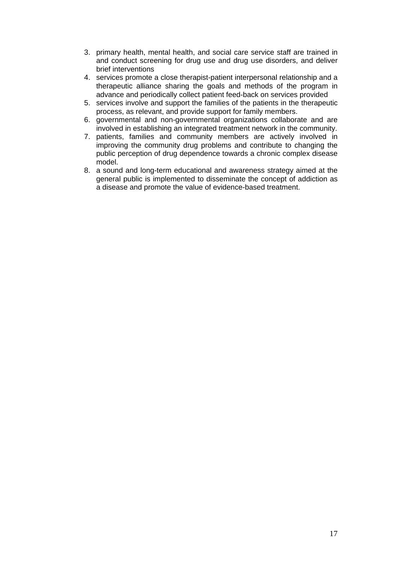- 3. primary health, mental health, and social care service staff are trained in and conduct screening for drug use and drug use disorders, and deliver brief interventions
- 4. services promote a close therapist-patient interpersonal relationship and a therapeutic alliance sharing the goals and methods of the program in advance and periodically collect patient feed-back on services provided
- 5. services involve and support the families of the patients in the therapeutic process, as relevant, and provide support for family members.
- 6. governmental and non-governmental organizations collaborate and are involved in establishing an integrated treatment network in the community.
- 7. patients, families and community members are actively involved in improving the community drug problems and contribute to changing the public perception of drug dependence towards a chronic complex disease model.
- 8. a sound and long-term educational and awareness strategy aimed at the general public is implemented to disseminate the concept of addiction as a disease and promote the value of evidence-based treatment.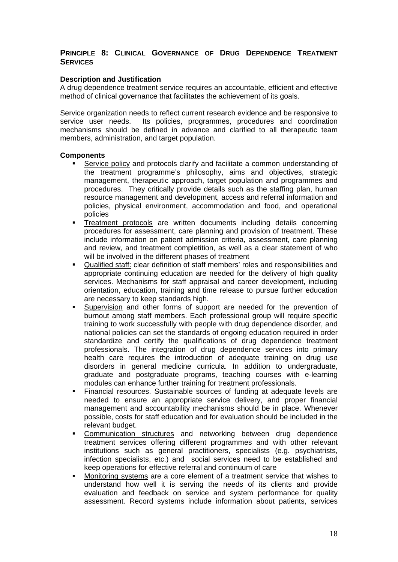## **PRINCIPLE 8: CLINICAL GOVERNANCE OF DRUG DEPENDENCE TREATMENT SERVICES**

## **Description and Justification**

A drug dependence treatment service requires an accountable, efficient and effective method of clinical governance that facilitates the achievement of its goals.

Service organization needs to reflect current research evidence and be responsive to service user needs. Its policies, programmes, procedures and coordination mechanisms should be defined in advance and clarified to all therapeutic team members, administration, and target population.

## **Components**

- Service policy and protocols clarify and facilitate a common understanding of the treatment programme's philosophy, aims and objectives, strategic management, therapeutic approach, target population and programmes and procedures. They critically provide details such as the staffing plan, human resource management and development, access and referral information and policies, physical environment, accommodation and food, and operational policies
- Treatment protocols are written documents including details concerning procedures for assessment, care planning and provision of treatment. These include information on patient admission criteria, assessment, care planning and review, and treatment completition, as well as a clear statement of who will be involved in the different phases of treatment
- Qualified staff: clear definition of staff members' roles and responsibilities and appropriate continuing education are needed for the delivery of high quality services. Mechanisms for staff appraisal and career development, including orientation, education, training and time release to pursue further education are necessary to keep standards high.
- Supervision and other forms of support are needed for the prevention of burnout among staff members. Each professional group will require specific training to work successfully with people with drug dependence disorder, and national policies can set the standards of ongoing education required in order standardize and certify the qualifications of drug dependence treatment professionals. The integration of drug dependence services into primary health care requires the introduction of adequate training on drug use disorders in general medicine curricula. In addition to undergraduate, graduate and postgraduate programs, teaching courses with e-learning modules can enhance further training for treatment professionals.
- Financial resources. Sustainable sources of funding at adequate levels are needed to ensure an appropriate service delivery, and proper financial management and accountability mechanisms should be in place. Whenever possible, costs for staff education and for evaluation should be included in the relevant budget.
- Communication structures and networking between drug dependence treatment services offering different programmes and with other relevant institutions such as general practitioners, specialists (e.g. psychiatrists, infection specialists, etc.) and social services need to be established and keep operations for effective referral and continuum of care
- Monitoring systems are a core element of a treatment service that wishes to understand how well it is serving the needs of its clients and provide evaluation and feedback on service and system performance for quality assessment. Record systems include information about patients, services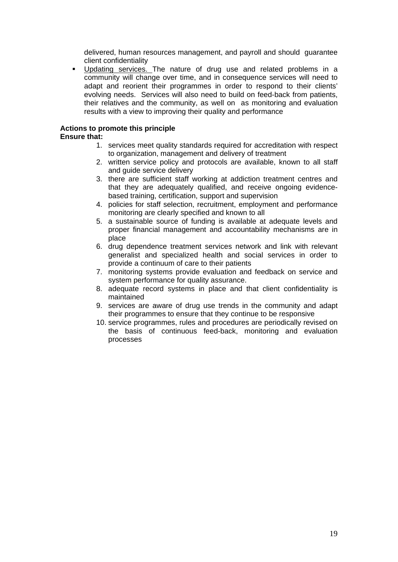delivered, human resources management, and payroll and should guarantee client confidentiality

 Updating services. The nature of drug use and related problems in a community will change over time, and in consequence services will need to adapt and reorient their programmes in order to respond to their clients' evolving needs. Services will also need to build on feed-back from patients, their relatives and the community, as well on as monitoring and evaluation results with a view to improving their quality and performance

## **Actions to promote this principle**

## **Ensure that:**

- 1. services meet quality standards required for accreditation with respect to organization, management and delivery of treatment
- 2. written service policy and protocols are available, known to all staff and guide service delivery
- 3. there are sufficient staff working at addiction treatment centres and that they are adequately qualified, and receive ongoing evidencebased training, certification, support and supervision
- 4. policies for staff selection, recruitment, employment and performance monitoring are clearly specified and known to all
- 5. a sustainable source of funding is available at adequate levels and proper financial management and accountability mechanisms are in place
- 6. drug dependence treatment services network and link with relevant generalist and specialized health and social services in order to provide a continuum of care to their patients
- 7. monitoring systems provide evaluation and feedback on service and system performance for quality assurance.
- 8. adequate record systems in place and that client confidentiality is maintained
- 9. services are aware of drug use trends in the community and adapt their programmes to ensure that they continue to be responsive
- 10. service programmes, rules and procedures are periodically revised on the basis of continuous feed-back, monitoring and evaluation processes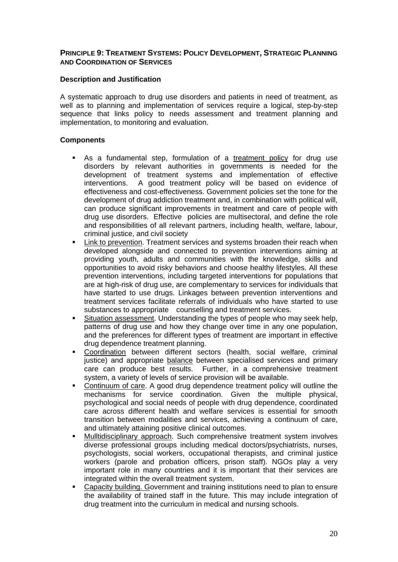## **PRINCIPLE 9: TREATMENT SYSTEMS: POLICY DEVELOPMENT, STRATEGIC PLANNING AND COORDINATION OF SERVICES**

## **Description and Justification**

A systematic approach to drug use disorders and patients in need of treatment, as well as to planning and implementation of services require a logical, step-by-step sequence that links policy to needs assessment and treatment planning and implementation, to monitoring and evaluation.

## **Components**

- As a fundamental step, formulation of a treatment policy for drug use disorders by relevant authorities in governments is needed for the development of treatment systems and implementation of effective interventions. A good treatment policy will be based on evidence of effectiveness and cost-effectiveness. Government policies set the tone for the development of drug addiction treatment and, in combination with political will, can produce significant improvements in treatment and care of people with drug use disorders. Effective policies are multisectoral, and define the role and responsibilities of all relevant partners, including health, welfare, labour, criminal justice, and civil society
- Link to prevention. Treatment services and systems broaden their reach when developed alongside and connected to prevention interventions aiming at providing youth, adults and communities with the knowledge, skills and opportunities to avoid risky behaviors and choose healthy lifestyles. All these prevention interventions, including targeted interventions for populations that are at high-risk of drug use, are complementary to services for individuals that have started to use drugs. Linkages between prevention interventions and treatment services facilitate referrals of individuals who have started to use substances to appropriate counselling and treatment services.
- Situation assessment. Understanding the types of people who may seek help, patterns of drug use and how they change over time in any one population, and the preferences for different types of treatment are important in effective drug dependence treatment planning.
- Coordination between different sectors (health, social welfare, criminal justice) and appropriate balance between specialised services and primary care can produce best results. Further, in a comprehensive treatment system, a variety of levels of service provision will be available.
- Continuum of care. A good drug dependence treatment policy will outline the mechanisms for service coordination. Given the multiple physical, psychological and social needs of people with drug dependence, coordinated care across different health and welfare services is essential for smooth transition between modalities and services, achieving a continuum of care, and ultimately attaining positive clinical outcomes.
- Mulltidisciplinary approach. Such comprehensive treatment system involves diverse professional groups including medical doctors/psychiatrists, nurses, psychologists, social workers, occupational therapists, and criminal justice workers (parole and probation officers, prison staff). NGOs play a very important role in many countries and it is important that their services are integrated within the overall treatment system.
- Capacity building. Government and training institutions need to plan to ensure the availability of trained staff in the future. This may include integration of drug treatment into the curriculum in medical and nursing schools.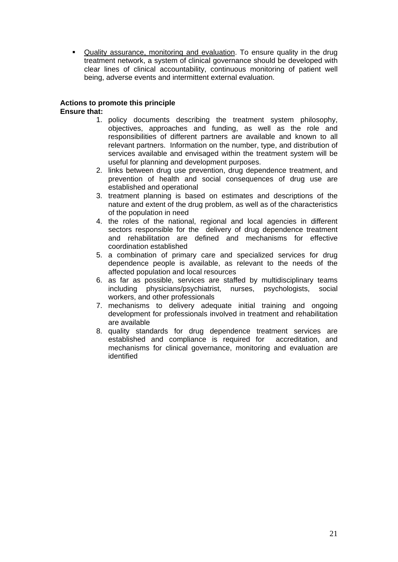Quality assurance, monitoring and evaluation. To ensure quality in the drug treatment network, a system of clinical governance should be developed with clear lines of clinical accountability, continuous monitoring of patient well being, adverse events and intermittent external evaluation.

#### **Actions to promote this principle Ensure that:**

- 1. policy documents describing the treatment system philosophy, objectives, approaches and funding, as well as the role and responsibilities of different partners are available and known to all relevant partners. Information on the number, type, and distribution of services available and envisaged within the treatment system will be useful for planning and development purposes.
- 2. links between drug use prevention, drug dependence treatment, and prevention of health and social consequences of drug use are established and operational
- 3. treatment planning is based on estimates and descriptions of the nature and extent of the drug problem, as well as of the characteristics of the population in need
- 4. the roles of the national, regional and local agencies in different sectors responsible for the delivery of drug dependence treatment and rehabilitation are defined and mechanisms for effective coordination established
- 5. a combination of primary care and specialized services for drug dependence people is available, as relevant to the needs of the affected population and local resources
- 6. as far as possible, services are staffed by multidisciplinary teams including physicians/psychiatrist, nurses, psychologists, social workers, and other professionals
- 7. mechanisms to delivery adequate initial training and ongoing development for professionals involved in treatment and rehabilitation are available
- 8. quality standards for drug dependence treatment services are established and compliance is required for accreditation, and mechanisms for clinical governance, monitoring and evaluation are identified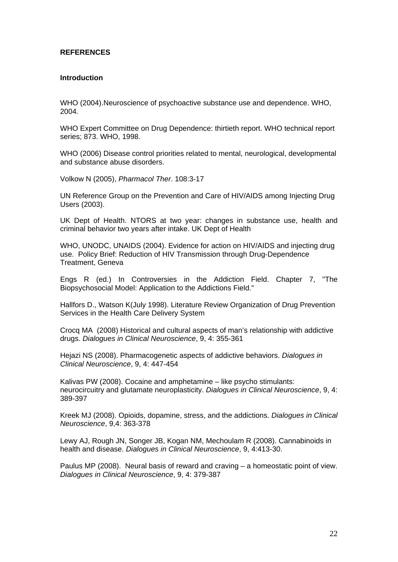## **REFERENCES**

#### **Introduction**

WHO (2004).Neuroscience of psychoactive substance use and dependence. WHO, 2004.

WHO Expert Committee on Drug Dependence: thirtieth report. WHO technical report series; 873. WHO, 1998.

WHO (2006) Disease control priorities related to mental, neurological, developmental and substance abuse disorders.

Volkow N (2005), *Pharmacol Ther*. 108:3-17

UN Reference Group on the Prevention and Care of HIV/AIDS among Injecting Drug Users (2003).

UK Dept of Health. NTORS at two year: changes in substance use, health and criminal behavior two years after intake. UK Dept of Health

WHO, UNODC, UNAIDS (2004). Evidence for action on HIV/AIDS and injecting drug use. Policy Brief: Reduction of HIV Transmission through Drug-Dependence Treatment, Geneva

Engs R (ed.) In Controversies in the Addiction Field. Chapter 7, "The Biopsychosocial Model: Application to the Addictions Field."

Hallfors D., Watson K(July 1998). Literature Review Organization of Drug Prevention Services in the Health Care Delivery System

Crocq MA (2008) Historical and cultural aspects of man's relationship with addictive drugs. *Dialogues in Clinical Neuroscience*, 9, 4: 355-361

Hejazi NS (2008). Pharmacogenetic aspects of addictive behaviors. *Dialogues in Clinical Neuroscience*, 9, 4: 447-454

Kalivas PW (2008). Cocaine and amphetamine – like psycho stimulants: neurocircuitry and glutamate neuroplasticity. *Dialogues in Clinical Neuroscience*, 9, 4: 389-397

Kreek MJ (2008). Opioids, dopamine, stress, and the addictions. *Dialogues in Clinical Neuroscience*, 9,4: 363-378

Lewy AJ, Rough JN, Songer JB, Kogan NM, Mechoulam R (2008). Cannabinoids in health and disease. *Dialogues in Clinical Neuroscience*, 9, 4:413-30.

Paulus MP (2008). Neural basis of reward and craving – a homeostatic point of view. *Dialogues in Clinical Neuroscience*, 9, 4: 379-387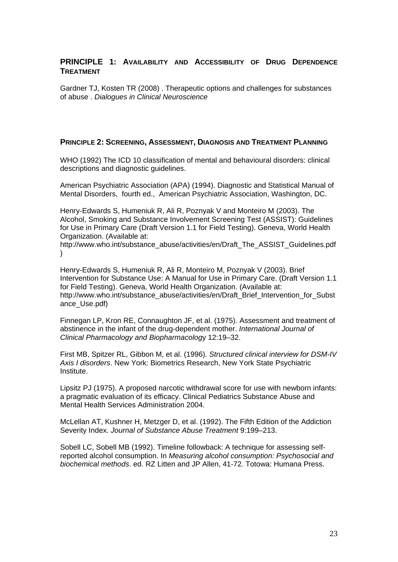## **PRINCIPLE 1: AVAILABILITY AND ACCESSIBILITY OF DRUG DEPENDENCE TREATMENT**

Gardner TJ, Kosten TR (2008) . Therapeutic options and challenges for substances of abuse . *Dialogues in Clinical Neuroscience*

## **PRINCIPLE 2: SCREENING, ASSESSMENT, DIAGNOSIS AND TREATMENT PLANNING**

WHO (1992) The ICD 10 classification of mental and behavioural disorders: clinical descriptions and diagnostic guidelines.

American Psychiatric Association (APA) (1994). Diagnostic and Statistical Manual of Mental Disorders, fourth ed., American Psychiatric Association, Washington, DC.

Henry-Edwards S, Humeniuk R, Ali R, Poznyak V and Monteiro M (2003). The Alcohol, Smoking and Substance Involvement Screening Test (ASSIST): Guidelines for Use in Primary Care (Draft Version 1.1 for Field Testing). Geneva, World Health Organization. (Available at:

[http://www.who.int/substance\\_abuse/activities/en/Draft\\_The\\_ASSIST\\_Guidelines.pdf](http://www.who.int/substance_abuse/activities/en/Draft_The_ASSIST_Guidelines.pdf) )

Henry-Edwards S, Humeniuk R, Ali R, Monteiro M, Poznyak V (2003). Brief Intervention for Substance Use: A Manual for Use in Primary Care. (Draft Version 1.1 for Field Testing). Geneva, World Health Organization. (Available at: http://www.who.int/substance\_abuse/activities/en/Draft\_Brief\_Intervention\_for\_Subst ance\_Use.pdf)

Finnegan LP, Kron RE, Connaughton JF, et al. (1975). Assessment and treatment of abstinence in the infant of the drug-dependent mother. *International Journal of Clinical Pharmacology and Biopharmacolog*y 12:19–32.

First MB, Spitzer RL, Gibbon M, et al. (1996). *Structured clinical interview for DSM-IV Axis I disorders*. New York: Biometrics Research, New York State Psychiatric Institute.

Lipsitz PJ (1975). A proposed narcotic withdrawal score for use with newborn infants: a pragmatic evaluation of its efficacy. Clinical Pediatrics Substance Abuse and Mental Health Services Administration 2004.

McLellan AT, Kushner H, Metzger D, et al. (1992). The Fifth Edition of the Addiction Severity Index. *Journal of Substance Abuse Treatment* 9:199–213.

Sobell LC, Sobell MB (1992). Timeline followback: A technique for assessing selfreported alcohol consumption. In *Measuring alcohol consumption: Psychosocial and biochemical methods*. ed. RZ Litten and JP Allen, 41-72. Totowa: Humana Press.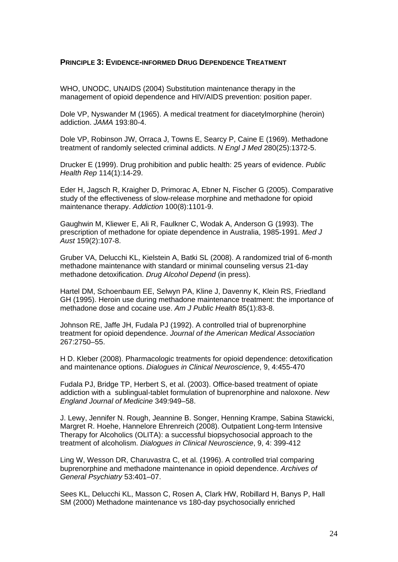## **PRINCIPLE 3: EVIDENCE-INFORMED DRUG DEPENDENCE TREATMENT**

WHO, UNODC, UNAIDS (2004) Substitution maintenance therapy in the management of opioid dependence and HIV/AIDS prevention: position paper.

Dole VP, Nyswander M (1965). A medical treatment for diacetylmorphine (heroin) addiction. *JAMA* 193:80-4.

Dole VP, Robinson JW, Orraca J, Towns E, Searcy P, Caine E (1969). Methadone treatment of randomly selected criminal addicts. *N Engl J Med* 280(25):1372-5.

Drucker E (1999). Drug prohibition and public health: 25 years of evidence. *Public Health Rep* 114(1):14-29.

Eder H, Jagsch R, Kraigher D, Primorac A, Ebner N, Fischer G (2005). Comparative study of the effectiveness of slow-release morphine and methadone for opioid maintenance therapy. *Addiction* 100(8):1101-9.

Gaughwin M, Kliewer E, Ali R, Faulkner C, Wodak A, Anderson G (1993). The prescription of methadone for opiate dependence in Australia, 1985-1991. *Med J Aust* 159(2):107-8.

Gruber VA, Delucchi KL, Kielstein A, Batki SL (2008). A randomized trial of 6-month methadone maintenance with standard or minimal counseling versus 21-day methadone detoxification. *Drug Alcohol Depend* (in press).

Hartel DM, Schoenbaum EE, Selwyn PA, Kline J, Davenny K, Klein RS, Friedland GH (1995). Heroin use during methadone maintenance treatment: the importance of methadone dose and cocaine use. *Am J Public Health* 85(1):83-8.

Johnson RE, Jaffe JH, Fudala PJ (1992). A controlled trial of buprenorphine treatment for opioid dependence. *Journal of the American Medical Association* 267:2750–55.

H D. Kleber (2008). Pharmacologic treatments for opioid dependence: detoxification and maintenance options. *Dialogues in Clinical Neuroscience*, 9, 4:455-470

Fudala PJ, Bridge TP, Herbert S, et al. (2003). Office-based treatment of opiate addiction with a sublingual-tablet formulation of buprenorphine and naloxone. *New England Journal of Medicine* 349:949–58.

J. Lewy, Jennifer N. Rough, Jeannine B. Songer, Henning Krampe, Sabina Stawicki, Margret R. Hoehe, Hannelore Ehrenreich (2008). Outpatient Long-term Intensive Therapy for Alcoholics (OLITA): a successful biopsychosocial approach to the treatment of alcoholism. *Dialogues in Clinical Neuroscience*, 9, 4: 399-412

Ling W, Wesson DR, Charuvastra C, et al. (1996). A controlled trial comparing buprenorphine and methadone maintenance in opioid dependence. *Archives of General Psychiatry* 53:401–07.

Sees KL, Delucchi KL, Masson C, Rosen A, Clark HW, Robillard H, Banys P, Hall SM (2000) Methadone maintenance vs 180-day psychosocially enriched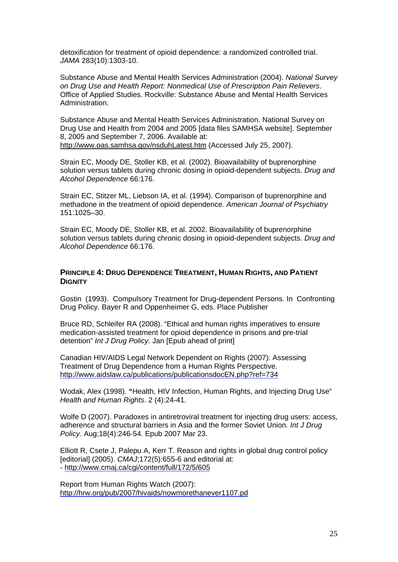detoxification for treatment of opioid dependence: a randomized controlled trial. *JAMA* 283(10):1303-10.

Substance Abuse and Mental Health Services Administration (2004). *National Survey on Drug Use and Health Report: Nonmedical Use of Prescription Pain Relievers*. Office of Applied Studies. Rockville: Substance Abuse and Mental Health Services Administration.

Substance Abuse and Mental Health Services Administration. National Survey on Drug Use and Health from 2004 and 2005 [data files SAMHSA website]. September 8, 2005 and September 7, 2006. Available at: <http://www.oas.samhsa.gov/nsduhLatest.htm>(Accessed July 25, 2007).

Strain EC, Moody DE, Stoller KB, et al. (2002). Bioavailability of buprenorphine solution versus tablets during chronic dosing in opioid-dependent subjects. *Drug and Alcohol Dependence* 66:176.

Strain EC, Stitzer ML, Liebson IA, et al. (1994). Comparison of buprenorphine and methadone in the treatment of opioid dependence. *American Journal of Psychiatry* 151:1025–30.

Strain EC, Moody DE, Stoller KB, et al. 2002. Bioavailability of buprenorphine solution versus tablets during chronic dosing in opioid-dependent subjects. *Drug and Alcohol Dependence* 66:176.

## **PRINCIPLE 4: DRUG DEPENDENCE TREATMENT, HUMAN RIGHTS, AND PATIENT DIGNITY**

Gostin (1993). Compulsory Treatment for Drug-dependent Persons. In Confronting Drug Policy. Bayer R and Oppenheimer G, eds. Place Publisher

Bruce RD, Schleifer RA (2008). "Ethical and human rights imperatives to ensure medication-assisted treatment for opioid dependence in prisons and pre-trial detention" *Int J Drug Policy.* Jan [Epub ahead of print]

Canadian HIV/AIDS Legal Network Dependent on Rights (2007): Assessing Treatment of Drug Dependence from a Human Rights Perspective. <http://www.aidslaw.ca/publications/publicationsdocEN.php?ref=734>

Wodak, Alex (1998). **"**Health, HIV Infection, Human Rights, and Injecting Drug Use" *Health and Human Rights*. 2 (4):24-41.

[Wolfe D](http://ezproxy.library.nyu.edu:2054/sites/entrez?Db=pubmed&Cmd=Search&Term=%2522Wolfe%20D%2522%255BAuthor%255D&itool=EntrezSystem2.PEntrez.Pubmed.Pubmed_ResultsPanel.Pubmed_RVAbstractPlusDrugs1) (2007). Paradoxes in antiretroviral treatment for injecting drug users: access, adherence and structural barriers in Asia and the former Soviet Union*. Int J Drug Policy.* Aug;18(4):246-54. Epub 2007 Mar 23.

Elliott R, Csete J, Palepu A, Kerr T. Reason and rights in global drug control policy [editorial] (2005). *CMAJ*;172(5):655-6 and editorial at: - <http://www.cmaj.ca/cgi/content/full/172/5/605>

Report from Human Rights Watch (2007): <http://hrw.org/pub/2007/hivaids/nowmorethanever1107.pd>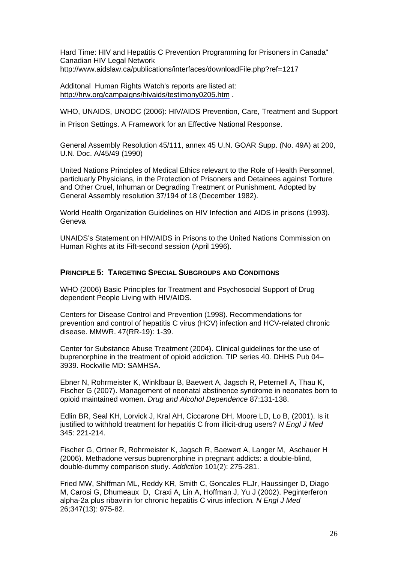Hard Time: HIV and Hepatitis C Prevention Programming for Prisoners in Canada" Canadian HIV Legal Network <http://www.aidslaw.ca/publications/interfaces/downloadFile.php?ref=1217>

Additonal Human Rights Watch's reports are listed at: <http://hrw.org/campaigns/hivaids/testimony0205.htm>.

WHO, UNAIDS, UNODC (2006): HIV/AIDS Prevention, Care, Treatment and Support

in Prison Settings. A Framework for an Effective National Response.

General Assembly Resolution 45/111, annex 45 U.N. GOAR Supp. (No. 49A) at 200, U.N. Doc. A/45/49 (1990)

United Nations Principles of Medical Ethics relevant to the Role of Health Personnel, particluarly Physicians, in the Protection of Prisoners and Detainees against Torture and Other Cruel, Inhuman or Degrading Treatment or Punishment. Adopted by General Assembly resolution 37/194 of 18 (December 1982).

World Health Organization Guidelines on HIV Infection and AIDS in prisons (1993). Geneva

UNAIDS's Statement on HIV/AIDS in Prisons to the United Nations Commission on Human Rights at its Fift-second session (April 1996).

## **PRINCIPLE 5: TARGETING SPECIAL SUBGROUPS AND CONDITIONS**

WHO (2006) Basic Principles for Treatment and Psychosocial Support of Drug dependent People Living with HIV/AIDS.

Centers for Disease Control and Prevention (1998). Recommendations for prevention and control of hepatitis C virus (HCV) infection and HCV-related chronic disease. MMWR. 47(RR-19): 1-39.

Center for Substance Abuse Treatment (2004). Clinical guidelines for the use of buprenorphine in the treatment of opioid addiction. TIP series 40. DHHS Pub 04– 3939. Rockville MD: SAMHSA.

Ebner N, Rohrmeister K, Winklbaur B, Baewert A, Jagsch R, Peternell A, Thau K, Fischer G (2007). Management of neonatal abstinence syndrome in neonates born to opioid maintained women. *Drug and Alcohol Dependence* 87:131-138.

Edlin BR, Seal KH, Lorvick J, Kral AH, Ciccarone DH, Moore LD, Lo B, (2001). Is it justified to withhold treatment for hepatitis C from illicit-drug users? *N Engl J Med* 345: 221-214.

Fischer G, Ortner R, Rohrmeister K, Jagsch R, Baewert A, Langer M, Aschauer H (2006). Methadone versus buprenorphine in pregnant addicts: a double-blind, double-dummy comparison study. *Addiction* 101(2): 275-281.

Fried MW, Shiffman ML, Reddy KR, Smith C, Goncales FLJr, Haussinger D, Diago M, Carosi G, Dhumeaux D, Craxi A, Lin A, Hoffman J, Yu J (2002). Peginterferon alpha-2a plus ribavirin for chronic hepatitis C virus infection*. N Engl J Med* 26;347(13): 975-82.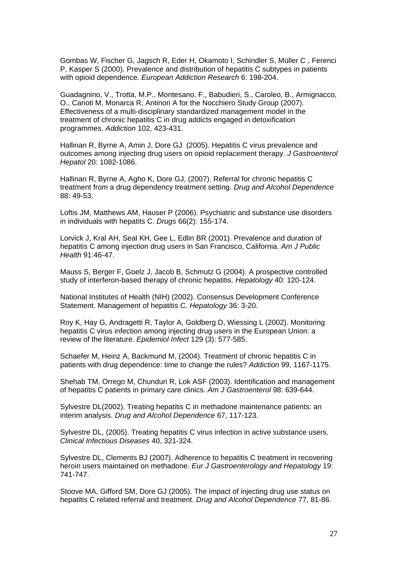Gombas W, Fischer G, Jagsch R, Eder H, Okamoto I, Schindler S, Müller C , Ferenci P, Kasper S (2000). Prevalence and distribution of hepatitis C subtypes in patients with opioid dependence. *European Addiction Research* 6: 198-204.

Guadagnino, V., Trotta, M.P., Montesano, F., Babudieri, S., Caroleo, B., Armignacco, O., Carioti M, Monarca R, Antinori A for the Nocchiero Study Group (2007). Effectiveness of a multi-disciplinary standardized management model in the treatment of chronic hepatitis C in drug addicts engaged in detoxification programmes. *Addiction* 102, 423-431.

Hallinan R, Byrne A, Amin J, Dore GJ (2005). Hepatitis C virus prevalence and outcomes among injecting drug users on opioid replacement therapy. *J Gastroenterol Hepatol* 20: 1082-1086.

Hallinan R, Byrne A, Agho K, Dore GJ, (2007). Referral for chronic hepatitis C treatment from a drug dependency treatment setting. *Drug and Alcohol Dependence* 88: 49-53.

Loftis JM, Matthews AM, Hauser P (2006). Psychiatric and substance use disorders in individuals with hepatits C. *Drugs* 66(2): 155-174.

Lorvick J, Kral AH, Seal KH, Gee L, Edlin BR (2001). Prevalence and duration of hepatitis C among injection drug users in San Francisco, California. *Am J Public Health* 91:46-47.

Mauss S, Berger F, Goelz J, Jacob B, Schmutz G (2004). A prospective controlled study of interferon-based therapy of chronic hepatitis. *Hepatology* 40: 120-124.

National Institutes of Health (NIH) (2002). Consensus Development Conference Statement. Management of hepatitis C. *Hepatology* 36: 3-20.

Roy K, Hay G, Andragetti R, Taylor A, Goldberg D, Wiessing L (2002). Monitoring hepatitis C virus infection among injecting drug users in the European Union: a review of the literature. *Epidemiol Infect* 129 (3): 577-585.

Schaefer M, Heinz A, Backmund M, (2004). Treatment of chronic hepatitis C in patients with drug dependence: time to change the rules? *Addiction* 99, 1167-1175.

Shehab TM, Orrego M, Chunduri R, Lok ASF (2003). Identification and management of hepatitis C patients in primary care clinics. *Am J Gastroenterol* 98: 639-644.

Sylvestre DL(2002). Treating hepatitis C in methadone maintenance patients: an interim analysis. *Drug and Alcohol Dependence* 67, 117-123.

Sylvestre DL, (2005). Treating hepatitis C virus infection in active substance users. *Clinical Infectious Diseases* 40, 321-324.

Sylvestre DL, Clements BJ (2007). Adherence to hepatitis C treatment in recovering heroin users maintained on methadone. *Eur J Gastroenterology and Hepatology* 19: 741-747.

Stoove MA, Gifford SM, Dore GJ (2005). The impact of injecting drug use status on hepatitis C related referral and treatment. *Drug and Alcohol Dependence* 77, 81-86.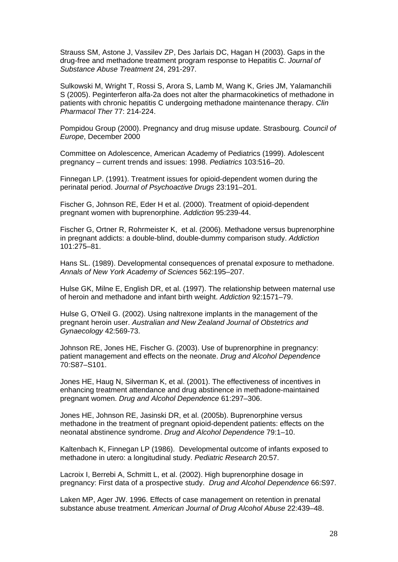Strauss SM, Astone J, Vassilev ZP, Des Jarlais DC, Hagan H (2003). Gaps in the drug-free and methadone treatment program response to Hepatitis C. *Journal of Substance Abuse Treatment* 24, 291-297.

Sulkowski M, Wright T, Rossi S, Arora S, Lamb M, Wang K, Gries JM, Yalamanchili S (2005). Peginterferon alfa-2a does not alter the pharmacokinetics of methadone in patients with chronic hepatitis C undergoing methadone maintenance therapy. *Clin Pharmacol Ther* 77: 214-224.

Pompidou Group (2000). Pregnancy and drug misuse update. Strasbourg*. Council of Europe*, December 2000

Committee on Adolescence, American Academy of Pediatrics (1999). Adolescent pregnancy – current trends and issues: 1998. *Pediatrics* 103:516–20.

Finnegan LP. (1991). Treatment issues for opioid-dependent women during the perinatal period. *Journal of Psychoactive Drugs* 23:191–201.

Fischer G, Johnson RE, Eder H et al. (2000). Treatment of opioid-dependent pregnant women with buprenorphine. *Addiction* 95:239-44.

Fischer G, Ortner R, Rohrmeister K, et al. (2006). Methadone versus buprenorphine in pregnant addicts: a double-blind, double-dummy comparison study. *Addiction* 101:275–81.

Hans SL. (1989). Developmental consequences of prenatal exposure to methadone. *Annals of New York Academy of Sciences* 562:195–207.

Hulse GK, Milne E, English DR, et al. (1997). The relationship between maternal use of heroin and methadone and infant birth weight. *Addiction* 92:1571–79.

[Hulse G, O'Neil G.](http://www.ncbi.nlm.nih.gov/entrez/query.fcgi?db=pubmed&cmd=Retrieve&dopt=AbstractPlus&list_uids=12495120&query_hl=1&itool=pubmed_docsum) (2002). Using naltrexone implants in the management of the pregnant heroin user. *Australian and New Zealand Journal of Obstetrics and Gynaecology* 42:569-73.

Johnson RE, Jones HE, Fischer G. (2003). Use of buprenorphine in pregnancy: patient management and effects on the neonate. *Drug and Alcohol Dependence* 70:S87–S101.

Jones HE, Haug N, Silverman K, et al. (2001). The effectiveness of incentives in enhancing treatment attendance and drug abstinence in methadone-maintained pregnant women. *Drug and Alcohol Dependence* 61:297–306.

Jones HE, Johnson RE, Jasinski DR, et al. (2005b). Buprenorphine versus methadone in the treatment of pregnant opioid-dependent patients: effects on the neonatal abstinence syndrome. *Drug and Alcohol Dependence* 79:1–10.

Kaltenbach K, Finnegan LP (1986). Developmental outcome of infants exposed to methadone in utero: a longitudinal study. *Pediatric Research* 20:57.

Lacroix I, Berrebi A, Schmitt L, et al. (2002). High buprenorphine dosage in pregnancy: First data of a prospective study. *Drug and Alcohol Dependence* 66:S97.

Laken MP, Ager JW. 1996. Effects of case management on retention in prenatal substance abuse treatment. *American Journal of Drug Alcohol Abuse* 22:439–48.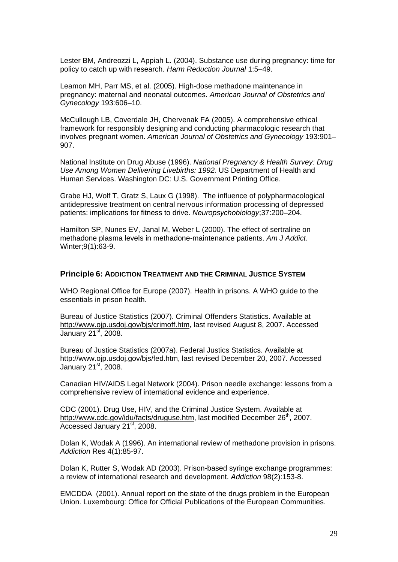Lester BM, Andreozzi L, Appiah L. (2004). Substance use during pregnancy: time for policy to catch up with research. *Harm Reduction Journal* 1:5–49.

Leamon MH, Parr MS, et al. (2005). High-dose methadone maintenance in pregnancy: maternal and neonatal outcomes. *American Journal of Obstetrics and Gynecology* 193:606–10.

McCullough LB, Coverdale JH, Chervenak FA (2005). A comprehensive ethical framework for responsibly designing and conducting pharmacologic research that involves pregnant women. *American Journal of Obstetrics and Gynecology* 193:901– 907.

National Institute on Drug Abuse (1996). *National Pregnancy & Health Survey: Drug Use Among Women Delivering Livebirths: 1992.* US Department of Health and Human Services. Washington DC: U.S. Government Printing Office.

Grabe HJ, Wolf T, Gratz S, Laux G (1998). The influence of polypharmacological antidepressive treatment on central nervous information processing of depressed patients: implications for fitness to drive. *Neuropsychobiology*;37:200–204.

Hamilton SP, Nunes EV, Janal M, Weber L (2000). The effect of sertraline on methadone plasma levels in methadone-maintenance patients. *Am J Addict*. Winter;9(1):63-9.

## **Principle 6: ADDICTION TREATMENT AND THE CRIMINAL JUSTICE SYSTEM**

WHO Regional Office for Europe (2007). Health in prisons. A WHO guide to the essentials in prison health.

Bureau of Justice Statistics (2007). Criminal Offenders Statistics. Available at [http://www.ojp.usdoj.gov/bjs/crimoff.htm,](http://www.ojp.usdoj.gov/bjs/crimoff.htm) last revised August 8, 2007. Accessed January 21<sup>st</sup>, 2008.

Bureau of Justice Statistics (2007a). Federal Justics Statistics. Available at <http://www.ojp.usdoj.gov/bjs/fed.htm>, last revised December 20, 2007. Accessed January 21<sup>st</sup>, 2008.

Canadian HIV/AIDS Legal Network (2004). Prison needle exchange: lessons from a comprehensive review of international evidence and experience.

CDC (2001). Drug Use, HIV, and the Criminal Justice System. Available at [http://www.cdc.gov/idu/facts/druguse.htm,](http://www.cdc.gov/idu/facts/druguse.htm) last modified December 26<sup>th</sup>, 2007. Accessed January 21<sup>st</sup>, 2008.

Dolan K, Wodak A (1996). An international review of methadone provision in prisons. *Addiction* Res 4(1):85-97.

Dolan K, Rutter S, Wodak AD (2003). Prison-based syringe exchange programmes: a review of international research and development. *Addiction* 98(2):153-8.

EMCDDA (2001). Annual report on the state of the drugs problem in the European Union. Luxembourg: Office for Official Publications of the European Communities.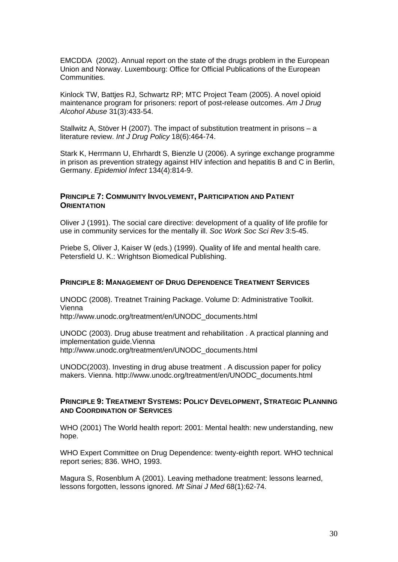EMCDDA (2002). Annual report on the state of the drugs problem in the European Union and Norway. Luxembourg: Office for Official Publications of the European Communities.

Kinlock TW, Battjes RJ, Schwartz RP; MTC Project Team (2005). A novel opioid maintenance program for prisoners: report of post-release outcomes. *Am J Drug Alcohol Abuse* 31(3):433-54.

Stallwitz A, Stöver H (2007). The impact of substitution treatment in prisons – a literature review. *Int J Drug Policy* 18(6):464-74.

Stark K, Herrmann U, Ehrhardt S, Bienzle U (2006). A syringe exchange programme in prison as prevention strategy against HIV infection and hepatitis B and C in Berlin, Germany. *Epidemiol Infect* 134(4):814-9.

## **PRINCIPLE 7: COMMUNITY INVOLVEMENT, PARTICIPATION AND PATIENT ORIENTATION**

Oliver J (1991). The social care directive: development of a quality of life profile for use in community services for the mentally ill. *Soc Work Soc Sci Rev* 3:5-45.

Priebe S, Oliver J, Kaiser W (eds.) (1999). Quality of life and mental health care. Petersfield U. K.: Wrightson Biomedical Publishing.

## **PRINCIPLE 8: MANAGEMENT OF DRUG DEPENDENCE TREATMENT SERVICES**

UNODC (2008). Treatnet Training Package. Volume D: Administrative Toolkit. Vienna http://www.unodc.org/treatment/en/UNODC\_documents.html

UNODC (2003). [Drug abuse treatment and rehabilitation .](http://www.unodc.org/docs/treatment/Guide_E.pdf) A practical planning and implementation guide.Vienna [http://www.unodc.org/treatment/en/UNODC\\_documents.html](http://www.unodc.org/treatment/en/UNODC_documents.html)

UNODC(2003). [Investing in drug abuse treatment .](http://www.unodc.org/docs/treatment/Investing_E.pdf) A discussion paper for policy makers. Vienna. [http://www.unodc.org/treatment/en/UNODC\\_documents.html](http://www.unodc.org/treatment/en/UNODC_documents.html)

## **PRINCIPLE 9: TREATMENT SYSTEMS: POLICY DEVELOPMENT, STRATEGIC PLANNING AND COORDINATION OF SERVICES**

WHO (2001) The World health report: 2001: Mental health: new understanding, new hope.

WHO Expert Committee on Drug Dependence: twenty-eighth report. WHO technical report series; 836. WHO, 1993.

Magura S, Rosenblum A (2001). Leaving methadone treatment: lessons learned, lessons forgotten, lessons ignored. *Mt Sinai J Med* 68(1):62-74.